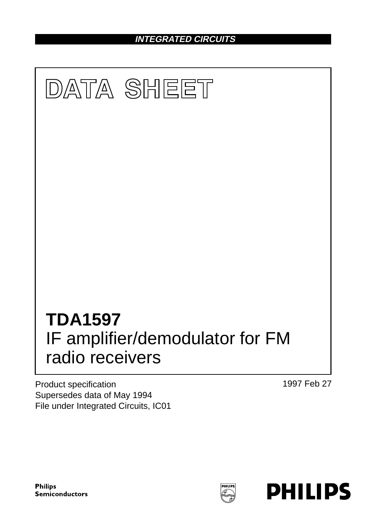**INTEGRATED CIRCUITS**



Product specification Supersedes data of May 1994 File under Integrated Circuits, IC01 1997 Feb 27

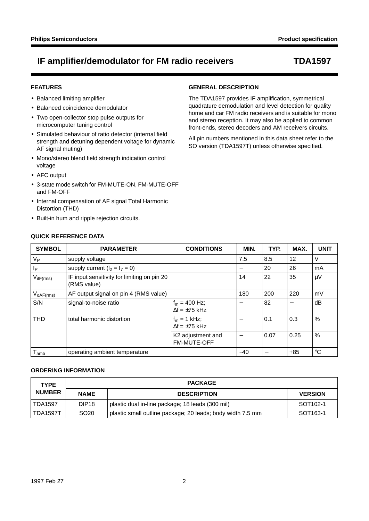### **FEATURES**

- Balanced limiting amplifier
- Balanced coincidence demodulator
- Two open-collector stop pulse outputs for microcomputer tuning control
- Simulated behaviour of ratio detector (internal field strength and detuning dependent voltage for dynamic AF signal muting)
- Mono/stereo blend field strength indication control voltage
- AFC output
- 3-state mode switch for FM-MUTE-ON, FM-MUTE-OFF and FM-OFF
- Internal compensation of AF signal Total Harmonic Distortion (THD)
- Built-in hum and ripple rejection circuits.

**QUICK REFERENCE DATA**

## **GENERAL DESCRIPTION**

The TDA1597 provides IF amplification, symmetrical quadrature demodulation and level detection for quality home and car FM radio receivers and is suitable for mono and stereo reception. It may also be applied to common front-ends, stereo decoders and AM receivers circuits.

All pin numbers mentioned in this data sheet refer to the SO version (TDA1597T) unless otherwise specified.

| <b>SYMBOL</b>         | <b>PARAMETER</b>                                           | <b>CONDITIONS</b>                            | MIN.  | TYP. | MAX.  | <b>UNIT</b> |
|-----------------------|------------------------------------------------------------|----------------------------------------------|-------|------|-------|-------------|
| $V_{P}$               | supply voltage                                             |                                              | 7.5   | 8.5  | 12    | V           |
| $I_P$                 | supply current $(l_2 = l_7 = 0)$                           |                                              |       | 20   | 26    | mA          |
| $V_{\text{ilF(rms)}}$ | IF input sensitivity for limiting on pin 20<br>(RMS value) |                                              | 14    | 22   | 35    | $\mu$ V     |
| $V_{oAF(rms)}$        | AF output signal on pin 4 (RMS value)                      |                                              | 180   | 200  | 220   | mV          |
| S/N                   | signal-to-noise ratio                                      | $f_m = 400$ Hz;<br>$\Delta f = \pm 75$ kHz   |       | 82   |       | dB          |
| <b>THD</b>            | total harmonic distortion                                  | $f_m = 1$ kHz;<br>$\Delta f = \pm 75$ kHz    |       | 0.1  | 0.3   | %           |
|                       |                                                            | K <sub>2</sub> adjustment and<br>FM-MUTE-OFF |       | 0.07 | 0.25  | %           |
| $T_{\mathsf{amb}}$    | operating ambient temperature                              |                                              | $-40$ |      | $+85$ | $^{\circ}C$ |

#### **ORDERING INFORMATION**

| <b>TYPE</b>                                        |                   | <b>PACKAGE</b>                                             |                      |
|----------------------------------------------------|-------------------|------------------------------------------------------------|----------------------|
| <b>NUMBER</b><br><b>DESCRIPTION</b><br><b>NAME</b> |                   | <b>VERSION</b>                                             |                      |
| <b>TDA1597</b>                                     | DIP <sub>18</sub> | plastic dual in-line package; 18 leads (300 mil)           | SOT <sub>102-1</sub> |
| <b>TDA1597T</b>                                    | SO <sub>20</sub>  | plastic small outline package; 20 leads; body width 7.5 mm | SOT <sub>163-1</sub> |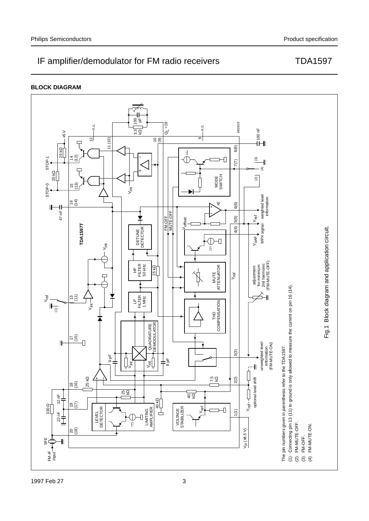

Ž

**BLOCK DIAGRAM**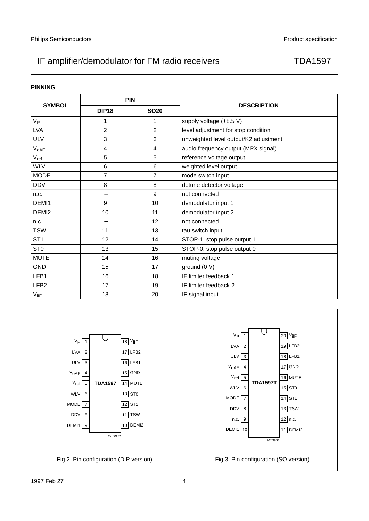### **PINNING**

|                   | <b>PIN</b>     |             |                                       |  |
|-------------------|----------------|-------------|---------------------------------------|--|
| <b>SYMBOL</b>     | <b>DIP18</b>   | <b>SO20</b> | <b>DESCRIPTION</b>                    |  |
| $V_{\mathsf{P}}$  | 1              | 1           | supply voltage (+8.5 V)               |  |
| <b>LVA</b>        | $\overline{2}$ | 2           | level adjustment for stop condition   |  |
| <b>ULV</b>        | 3              | 3           | unweighted level output/K2 adjustment |  |
| $V_{oAF}$         | 4              | 4           | audio frequency output (MPX signal)   |  |
| $V_{ref}$         | 5              | 5           | reference voltage output              |  |
| <b>WLV</b>        | 6              | 6           | weighted level output                 |  |
| <b>MODE</b>       | $\overline{7}$ | 7           | mode switch input                     |  |
| <b>DDV</b>        | 8              | 8           | detune detector voltage               |  |
| n.c.              |                | 9           | not connected                         |  |
| DEMI1             | 9              | 10          | demodulator input 1                   |  |
| DEMI <sub>2</sub> | 10             | 11          | demodulator input 2                   |  |
| n.c.              |                | 12          | not connected                         |  |
| <b>TSW</b>        | 11             | 13          | tau switch input                      |  |
| ST <sub>1</sub>   | 12             | 14          | STOP-1, stop pulse output 1           |  |
| ST <sub>0</sub>   | 13             | 15          | STOP-0, stop pulse output 0           |  |
| <b>MUTE</b>       | 14             | 16          | muting voltage                        |  |
| <b>GND</b>        | 15             | 17          | ground (0 V)                          |  |
| LFB1              | 16             | 18          | IF limiter feedback 1                 |  |
| LFB <sub>2</sub>  | 17             | 19          | IF limiter feedback 2                 |  |
| $V_{\text{HF}}$   | 18             | 20          | IF signal input                       |  |



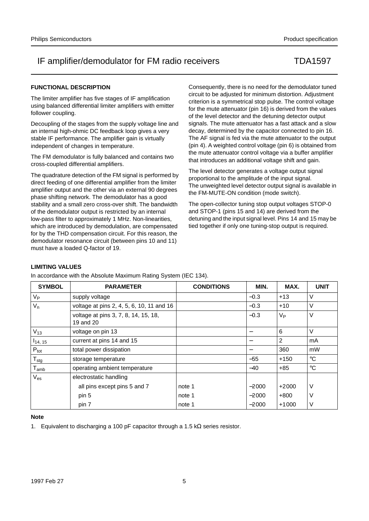### **FUNCTIONAL DESCRIPTION**

The limiter amplifier has five stages of IF amplification using balanced differential limiter amplifiers with emitter follower coupling.

Decoupling of the stages from the supply voltage line and an internal high-ohmic DC feedback loop gives a very stable IF performance. The amplifier gain is virtually independent of changes in temperature.

The FM demodulator is fully balanced and contains two cross-coupled differential amplifiers.

The quadrature detection of the FM signal is performed by direct feeding of one differential amplifier from the limiter amplifier output and the other via an external 90 degrees phase shifting network. The demodulator has a good stability and a small zero cross-over shift. The bandwidth of the demodulator output is restricted by an internal low-pass filter to approximately 1 MHz. Non-linearities, which are introduced by demodulation, are compensated for by the THD compensation circuit. For this reason, the demodulator resonance circuit (between pins 10 and 11) must have a loaded Q-factor of 19.

Consequently, there is no need for the demodulator tuned circuit to be adjusted for minimum distortion. Adjustment criterion is a symmetrical stop pulse. The control voltage for the mute attenuator (pin 16) is derived from the values of the level detector and the detuning detector output signals. The mute attenuator has a fast attack and a slow decay, determined by the capacitor connected to pin 16. The AF signal is fed via the mute attenuator to the output (pin 4). A weighted control voltage (pin 6) is obtained from the mute attenuator control voltage via a buffer amplifier that introduces an additional voltage shift and gain.

The level detector generates a voltage output signal proportional to the amplitude of the input signal. The unweighted level detector output signal is available in the FM-MUTE-ON condition (mode switch).

The open-collector tuning stop output voltages STOP-0 and STOP-1 (pins 15 and 14) are derived from the detuning and the input signal level. Pins 14 and 15 may be tied together if only one tuning-stop output is required.

### **LIMITING VALUES**

In accordance with the Absolute Maximum Rating System (IEC 134).

| <b>SYMBOL</b>               | <b>PARAMETER</b>                                  | <b>CONDITIONS</b> | MIN.                             | MAX.             | <b>UNIT</b> |
|-----------------------------|---------------------------------------------------|-------------------|----------------------------------|------------------|-------------|
| $V_{\mathsf{P}}$            | supply voltage                                    |                   | $-0.3$                           | $+13$            | V           |
| $V_n$                       | voltage at pins 2, 4, 5, 6, 10, 11 and 16         |                   | $-0.3$                           | $+10$            | V           |
|                             | voltage at pins 3, 7, 8, 14, 15, 18,<br>19 and 20 |                   | $-0.3$                           | $V_{\mathsf{P}}$ | $\vee$      |
| $V_{13}$                    | voltage on pin 13                                 |                   | $\overbrace{\phantom{12322111}}$ | 6                | V           |
| $I_{14, 15}$                | current at pins 14 and 15                         |                   | $\overline{\phantom{m}}$         | 2                | mA          |
| $P_{\text{tot}}$            | total power dissipation                           |                   |                                  | 360              | mW          |
| $T_{\text{stg}}$            | storage temperature                               |                   | $-55$                            | $+150$           | $^{\circ}C$ |
| $\mathsf{T}_{\mathsf{amb}}$ | operating ambient temperature                     |                   | $-40$                            | $+85$            | $^{\circ}C$ |
| $V_{es}$                    | electrostatic handling                            |                   |                                  |                  |             |
|                             | all pins except pins 5 and 7                      | note 1            | $-2000$                          | $+2000$          | V           |
|                             | pin 5                                             | note 1            | $-2000$                          | $+800$           | ν           |
|                             | pin 7                                             | note 1            | $-2000$                          | $+1000$          | ٧           |

### **Note**

1. Equivalent to discharging a 100 pF capacitor through a 1.5 kΩ series resistor.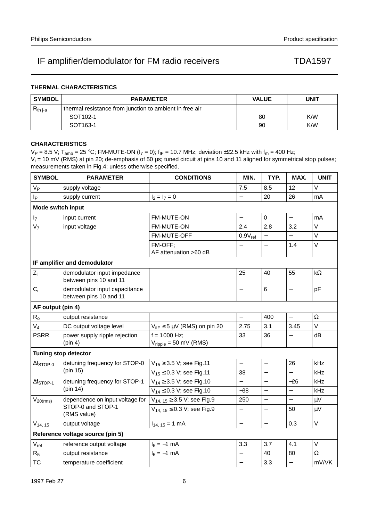## **THERMAL CHARACTERISTICS**

| <b>SYMBOL</b> | <b>PARAMETER</b>                                        | <b>VALUE</b> | <b>UNIT</b> |
|---------------|---------------------------------------------------------|--------------|-------------|
| $R_{th\,j-a}$ | thermal resistance from junction to ambient in free air |              |             |
|               | SOT <sub>102-1</sub>                                    | 80           | K/W         |
|               | SOT <sub>163</sub> -1                                   | 90           | K/W         |

### **CHARACTERISTICS**

 $V_P = 8.5$  V; T<sub>amb</sub> = 25 °C; FM-MUTE-ON ( $I_7 = 0$ );  $f_{IF} = 10.7$  MHz; deviation  $\pm$ 22.5 kHz with  $f_m = 400$  Hz;  $V_i$  = 10 mV (RMS) at pin 20; de-emphasis of 50  $\mu$ s; tuned circuit at pins 10 and 11 aligned for symmetrical stop pulses; measurements taken in Fig.4; unless otherwise specified.

| <b>SYMBOL</b>            | <b>PARAMETER</b>                                        | <b>CONDITIONS</b>                                   | MIN.                     | TYP.                     | MAX.                     | <b>UNIT</b> |  |
|--------------------------|---------------------------------------------------------|-----------------------------------------------------|--------------------------|--------------------------|--------------------------|-------------|--|
| <b>V<sub>P</sub></b>     | supply voltage                                          |                                                     | 7.5                      | 8.5                      | 12                       | $\vee$      |  |
| p                        | supply current                                          | $I_2 = I_7 = 0$                                     | $\overline{\phantom{0}}$ | 20                       | 26                       | mA          |  |
| <b>Mode switch input</b> |                                                         |                                                     |                          |                          |                          |             |  |
| $I_7$                    | input current                                           | FM-MUTE-ON                                          | $\overline{\phantom{0}}$ | $\mathbf 0$              | $\overline{\phantom{0}}$ | mA          |  |
| V <sub>7</sub>           | input voltage                                           | FM-MUTE-ON                                          | 2.4                      | 2.8                      | 3.2                      | $\vee$      |  |
|                          |                                                         | FM-MUTE-OFF                                         | $0.9V_{ref}$             |                          |                          | $\vee$      |  |
|                          |                                                         | FM-OFF;<br>AF attenuation >60 dB                    |                          | $\overline{\phantom{0}}$ | 1.4                      | $\vee$      |  |
|                          | IF amplifier and demodulator                            |                                                     |                          |                          |                          |             |  |
| $Z_i$                    | demodulator input impedance<br>between pins 10 and 11   |                                                     | 25                       | 40                       | 55                       | $k\Omega$   |  |
| $C_i$                    | demodulator input capacitance<br>between pins 10 and 11 |                                                     | $\overline{\phantom{0}}$ | $6\phantom{1}$           | $\overline{\phantom{0}}$ | pF          |  |
|                          | AF output (pin 4)                                       |                                                     |                          |                          |                          |             |  |
| $R_{o}$                  | output resistance                                       |                                                     | $\equiv$                 | 400                      | $\overline{\phantom{0}}$ | $\Omega$    |  |
| $V_4$                    | DC output voltage level                                 | $V_{\text{HF}}$ $\leq$ 5 µV (RMS) on pin 20         | 2.75                     | 3.1                      | 3.45                     | $\vee$      |  |
| <b>PSRR</b>              | power supply ripple rejection<br>(pin 4)                | $f = 1000$ Hz;<br>$V_{\text{ripole}}$ = 50 mV (RMS) | 33                       | 36                       |                          | dB          |  |
|                          | <b>Tuning stop detector</b>                             |                                                     |                          |                          |                          |             |  |
| $\Delta f$ STOP-0        | detuning frequency for STOP-0                           | $V_{15} \geq 3.5$ V; see Fig.11                     | $\overline{\phantom{0}}$ | $\overline{a}$           | 26                       | kHz         |  |
|                          | (pin 15)                                                | $V_{15} \le 0.3$ V; see Fig.11                      | 38                       | $\overline{\phantom{0}}$ | $\overline{\phantom{0}}$ | kHz         |  |
| $\Delta f$ STOP-1        | detuning frequency for STOP-1                           | $V_{14} \geq 3.5$ V; see Fig.10                     |                          | $\overline{\phantom{0}}$ | $-26$                    | kHz         |  |
|                          | (pin 14)                                                | $V_{14} \le 0.3$ V; see Fig.10                      | $-38$                    | -                        |                          | kHz         |  |
| $V_{20(rms)}$            | dependence on input voltage for                         | $V_{14, 15} \geq 3.5$ V; see Fig.9                  | 250                      | $\equiv$                 | $\overline{\phantom{0}}$ | $\mu V$     |  |
|                          | STOP-0 and STOP-1<br>(RMS value)                        | $V_{14, 15} \le 0.3$ V; see Fig.9                   | —                        |                          | 50                       | $\mu V$     |  |
| $V_{14, 15}$             | output voltage                                          | $I_{14, 15} = 1$ mA                                 | $\overline{\phantom{0}}$ | $\qquad \qquad -$        | 0.3                      | $\vee$      |  |
|                          | Reference voltage source (pin 5)                        |                                                     |                          |                          |                          |             |  |
| $V_{ref}$                | reference output voltage                                | $I_5 = -1$ mA                                       | 3.3                      | 3.7                      | 4.1                      | $\vee$      |  |
| $R_5$                    | output resistance                                       | $I_5 = -1$ mA                                       |                          | 40                       | 80                       | $\Omega$    |  |
| <b>TC</b>                | temperature coefficient                                 |                                                     | $\overline{\phantom{0}}$ | 3.3                      | $\overline{\phantom{0}}$ | mV/VK       |  |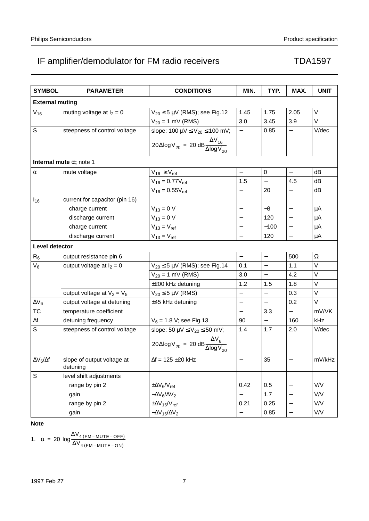| <b>SYMBOL</b>          | <b>PARAMETER</b>                       | <b>CONDITIONS</b>                                                                | MIN.                     | TYP.                     | MAX.                     | <b>UNIT</b> |
|------------------------|----------------------------------------|----------------------------------------------------------------------------------|--------------------------|--------------------------|--------------------------|-------------|
| <b>External muting</b> |                                        |                                                                                  |                          |                          |                          |             |
| $V_{16}$               | muting voltage at $I_2 = 0$            | $V_{20} \leq 5 \mu V$ (RMS); see Fig.12                                          | 1.45                     | 1.75                     | 2.05                     | V           |
|                        |                                        | $V_{20} = 1$ mV (RMS)                                                            | 3.0                      | 3.45                     | 3.9                      | $\vee$      |
| S                      | steepness of control voltage           | slope: 100 $\mu$ V $\leq$ V <sub>20</sub> $\leq$ 100 mV;                         | $\qquad \qquad -$        | 0.85                     | $\overline{\phantom{0}}$ | V/dec       |
|                        |                                        | $20 \triangle log V_{20} = 20 dB \frac{\Delta V_{16}}{\Delta log V_{20}}$        |                          |                          |                          |             |
|                        | Internal mute $\alpha$ ; note 1        |                                                                                  |                          |                          |                          |             |
| $\alpha$               | mute voltage                           | $V_{16} \geq V_{ref}$                                                            | $\equiv$                 | 0                        | $\equiv$                 | dB          |
|                        |                                        | $V_{16} = 0.77V_{ref}$                                                           | 1.5                      | $\overline{\phantom{0}}$ | 4.5                      | dB          |
|                        |                                        | $V_{16} = 0.55V_{ref}$                                                           | $\overline{\phantom{0}}$ | 20                       | $\overline{\phantom{0}}$ | dB          |
| $I_{16}$               | current for capacitor (pin 16)         |                                                                                  |                          |                          |                          |             |
|                        | charge current                         | $V_{13} = 0 V$                                                                   |                          | -8                       | $\overline{\phantom{0}}$ | μA          |
|                        | discharge current                      | $V_{13} = 0 V$                                                                   |                          | 120                      |                          | μA          |
|                        | charge current                         | $V_{13} = V_{ref}$                                                               |                          | $-100$                   |                          | μA          |
|                        | discharge current                      | $V_{13} = V_{ref}$                                                               |                          | 120                      |                          | μA          |
| <b>Level detector</b>  |                                        |                                                                                  |                          |                          |                          |             |
| $R_6$                  | output resistance pin 6                |                                                                                  | $\overline{\phantom{0}}$ | $\qquad \qquad -$        | 500                      | $\Omega$    |
| $V_6$                  | output voltage at $I_2 = 0$            | $V_{20} \leq 5 \mu V$ (RMS); see Fig.14                                          | 0.1                      |                          | 1.1                      | V           |
|                        |                                        | $V_{20} = 1$ mV (RMS)                                                            | 3.0                      | $\equiv$                 | 4.2                      | V           |
|                        |                                        | ±200 kHz detuning                                                                | 1.2                      | 1.5                      | 1.8                      | $\vee$      |
|                        | output voltage at $V_2 = V_5$          | $V_{20} \leq 5 \mu V$ (RMS)                                                      | $\overline{\phantom{0}}$ | $\overline{\phantom{0}}$ | 0.3                      | V           |
| $\Delta V_6$           | output voltage at detuning             | ±45 kHz detuning                                                                 | $\overline{\phantom{0}}$ | $\equiv$                 | 0.2                      | V           |
| TC                     | temperature coefficient                |                                                                                  | $\overline{\phantom{0}}$ | 3.3                      | $\overline{\phantom{0}}$ | mV/VK       |
| $\Delta f$             | detuning frequency                     | $V_6$ = 1.8 V; see Fig.13                                                        | 90                       | $\equiv$                 | 160                      | kHz         |
| S                      | steepness of control voltage           | slope: 50 $\mu$ V $\leq$ V <sub>20</sub> $\leq$ 50 mV;                           | 1.4                      | 1.7                      | 2.0                      | V/dec       |
|                        |                                        | $20 \triangle \log V_{20} = 20 \text{ dB} \frac{\Delta V_6}{\Delta \log V_{20}}$ |                          |                          |                          |             |
| ∆V <sub>6</sub> /∆f    | slope of output voltage at<br>detuning | $\Delta f = 125 \pm 20$ kHz                                                      |                          | 35                       |                          | mV/kHz      |
| S                      | level shift adjustments                |                                                                                  |                          |                          |                          |             |
|                        | range by pin 2                         | $\pm \Delta V_6/V_{ref}$                                                         | 0.42                     | 0.5                      |                          | V/V         |
|                        | gain                                   | $-\Delta V_6/\Delta V_2$                                                         |                          | 1.7                      |                          | V/V         |
|                        | range by pin 2                         | $\pm \Delta V_{16}/V_{ref}$                                                      | 0.21                     | 0.25                     |                          | V/V         |
|                        | gain                                   | $-\Delta V_{16}/\Delta V_2$                                                      |                          | 0.85                     |                          | V/V         |

## **Note**

1.  $\alpha = 20 \log_{\frac{\text{AV}_{4(FM-MUTE-OFF)}}{\text{AV}}}$  $= 20 \log \frac{4(FM - MUTE - OFF)}{\Delta V_{4(FM - MUTE - ON)}}$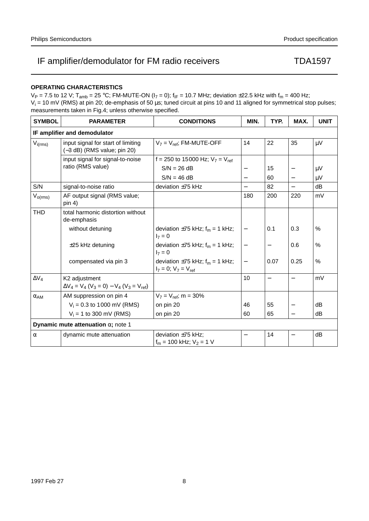### **OPERATING CHARACTERISTICS**

 $V_P = 7.5$  to 12 V; T<sub>amb</sub> = 25 °C; FM-MUTE-ON ( $I_7 = 0$ );  $f_{IF} = 10.7$  MHz; deviation ±22.5 kHz with  $f_m = 400$  Hz;  $V_i$  = 10 mV (RMS) at pin 20; de-emphasis of 50  $\mu$ s; tuned circuit at pins 10 and 11 aligned for symmetrical stop pulses; measurements taken in Fig.4; unless otherwise specified.

| <b>SYMBOL</b> | <b>PARAMETER</b>                                                                | <b>CONDITIONS</b>                                                     | MIN.                     | TYP.              | MAX.                     | <b>UNIT</b> |
|---------------|---------------------------------------------------------------------------------|-----------------------------------------------------------------------|--------------------------|-------------------|--------------------------|-------------|
|               | IF amplifier and demodulator                                                    |                                                                       |                          |                   |                          |             |
| $V_{i(rms)}$  | input signal for start of limiting<br>(-3 dB) (RMS value; pin 20)               | $V_7 = V_{ref}$ ; FM-MUTE-OFF                                         | 14                       | 22                | 35                       | $\mu$ V     |
|               | input signal for signal-to-noise                                                | f = 250 to 15000 Hz; $V_7 = V_{ref}$                                  |                          |                   |                          |             |
|               | ratio (RMS value)                                                               | $S/N = 26 dB$                                                         | —                        | 15                |                          | $\mu V$     |
|               |                                                                                 | $S/N = 46 dB$                                                         | $\overline{\phantom{0}}$ | 60                | $\qquad \qquad -$        | $\mu$ V     |
| S/N           | signal-to-noise ratio                                                           | deviation $\pm 75$ kHz                                                | $\overline{\phantom{0}}$ | 82                | $\overline{\phantom{0}}$ | dB          |
| $V_{o(rms)}$  | AF output signal (RMS value;<br>pin 4)                                          |                                                                       | 180                      | 200               | 220                      | mV          |
| <b>THD</b>    | total harmonic distortion without<br>de-emphasis                                |                                                                       |                          |                   |                          |             |
|               | without detuning                                                                | deviation $\pm 75$ kHz; $f_m = 1$ kHz;<br>$I_7 = 0$                   | —                        | 0.1               | 0.3                      | %           |
|               | $\pm 25$ kHz detuning                                                           | deviation $\pm 75$ kHz; $f_m = 1$ kHz;<br>$I_7 = 0$                   | $\qquad \qquad -$        | $\qquad \qquad -$ | 0.6                      | %           |
|               | compensated via pin 3                                                           | deviation $\pm 75$ kHz; $f_m = 1$ kHz;<br>$I_7 = 0$ ; $V_7 = V_{ref}$ | $\qquad \qquad -$        | 0.07              | 0.25                     | %           |
| $\Delta V_4$  | K <sub>2</sub> adjustment<br>$\Delta V_4 = V_4 (V_3 = 0) - V_4 (V_3 = V_{ref})$ |                                                                       | 10                       | —                 |                          | mV          |
| $\alpha_{AM}$ | AM suppression on pin 4                                                         | $V_7 = V_{ref}$ ; m = 30%                                             |                          |                   |                          |             |
|               | $V_i = 0.3$ to 1000 mV (RMS)                                                    | on pin 20                                                             | 46                       | 55                | $\qquad \qquad -$        | dB          |
|               | $V_i = 1$ to 300 mV (RMS)                                                       | on pin 20                                                             | 60                       | 65                | $\qquad \qquad -$        | dB          |
|               | Dynamic mute attenuation $\alpha$ ; note 1                                      |                                                                       |                          |                   |                          |             |
| $\alpha$      | dynamic mute attenuation                                                        | deviation $\pm 75$ kHz;<br>$f_m = 100$ kHz; $V_2 = 1$ V               |                          | 14                |                          | dB          |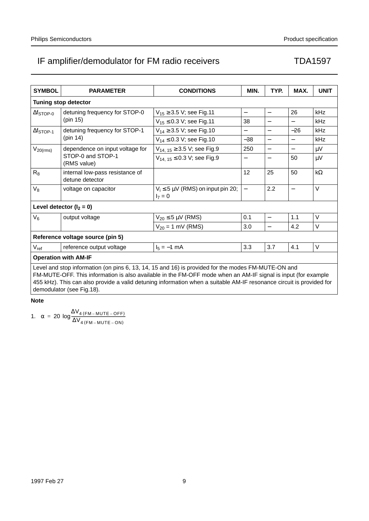| <b>SYMBOL</b>                                                                                                                                                                                                                                                                                                                                                            | <b>PARAMETER</b>                                   | <b>CONDITIONS</b>                                      | MIN.                     | TYP.                     | MAX.                     | <b>UNIT</b> |  |  |
|--------------------------------------------------------------------------------------------------------------------------------------------------------------------------------------------------------------------------------------------------------------------------------------------------------------------------------------------------------------------------|----------------------------------------------------|--------------------------------------------------------|--------------------------|--------------------------|--------------------------|-------------|--|--|
|                                                                                                                                                                                                                                                                                                                                                                          | <b>Tuning stop detector</b>                        |                                                        |                          |                          |                          |             |  |  |
| $\Delta f$ STOP-0                                                                                                                                                                                                                                                                                                                                                        | detuning frequency for STOP-0                      | $V_{15} \geq 3.5$ V; see Fig.11                        | $\overline{\phantom{0}}$ | $\overline{\phantom{0}}$ | 26                       | kHz         |  |  |
|                                                                                                                                                                                                                                                                                                                                                                          | (pin 15)                                           | $V_{15} \le 0.3$ V; see Fig.11                         | 38                       | $\overline{\phantom{0}}$ |                          | kHz         |  |  |
| $\Delta f_{STOP-1}$                                                                                                                                                                                                                                                                                                                                                      | detuning frequency for STOP-1                      | $V_{14} \geq 3.5$ V; see Fig.10                        | $\overline{\phantom{0}}$ | $\overline{\phantom{0}}$ | $-26$                    | kHz         |  |  |
|                                                                                                                                                                                                                                                                                                                                                                          | (pin 14)                                           | $V_{14} \le 0.3$ V; see Fig.10                         | $-38$                    | $\overline{\phantom{0}}$ | $\overline{\phantom{0}}$ | kHz         |  |  |
| $V_{20(rms)}$                                                                                                                                                                                                                                                                                                                                                            | dependence on input voltage for                    | $V_{14, 15} \geq 3.5$ V; see Fig.9                     | 250                      | $\overline{a}$           |                          | μV          |  |  |
|                                                                                                                                                                                                                                                                                                                                                                          | STOP-0 and STOP-1<br>(RMS value)                   | $V_{14.15} \le 0.3$ V; see Fig.9                       | $\overline{\phantom{0}}$ |                          | 50                       | $\mu$ V     |  |  |
| $R_8$                                                                                                                                                                                                                                                                                                                                                                    | internal low-pass resistance of<br>detune detector |                                                        | 12                       | 25                       | 50                       | $k\Omega$   |  |  |
| $V_8$                                                                                                                                                                                                                                                                                                                                                                    | voltage on capacitor                               | $V_i \leq 5 \mu V$ (RMS) on input pin 20;<br>$I_7 = 0$ | $\overline{\phantom{0}}$ | 2.2                      | $\overline{\phantom{0}}$ | $\vee$      |  |  |
|                                                                                                                                                                                                                                                                                                                                                                          | Level detector $(I_2 = 0)$                         |                                                        |                          |                          |                          |             |  |  |
| $V_6$                                                                                                                                                                                                                                                                                                                                                                    | output voltage                                     | $V_{20} \leq 5 \mu V$ (RMS)                            | 0.1                      | $\overline{\phantom{0}}$ | 1.1                      | $\vee$      |  |  |
|                                                                                                                                                                                                                                                                                                                                                                          |                                                    | $V_{20} = 1$ mV (RMS)                                  | 3.0                      | $\overline{\phantom{0}}$ | 4.2                      | $\vee$      |  |  |
| Reference voltage source (pin 5)                                                                                                                                                                                                                                                                                                                                         |                                                    |                                                        |                          |                          |                          |             |  |  |
| $V_{ref}$                                                                                                                                                                                                                                                                                                                                                                | reference output voltage                           | $I_5 = -1$ mA                                          | 3.3                      | 3.7                      | 4.1                      | V           |  |  |
| <b>Operation with AM-IF</b>                                                                                                                                                                                                                                                                                                                                              |                                                    |                                                        |                          |                          |                          |             |  |  |
| Level and stop information (on pins 6, 13, 14, 15 and 16) is provided for the modes FM-MUTE-ON and<br>FM-MUTE-OFF. This information is also available in the FM-OFF mode when an AM-IF signal is input (for example<br>455 kHz). This can also provide a valid detuning information when a suitable AM-IF resonance circuit is provided for<br>demodulator (see Fig.18). |                                                    |                                                        |                          |                          |                          |             |  |  |

### **Note**

1.  $\alpha = 20 \log_{\frac{\text{AV}_{4(FM-MUTE-OFF)}}{\text{AV}}}$  $= 20 \log \frac{4(FM - MUTE - OFF)}{\Delta V_{4(FM - MUTE - ON)}}$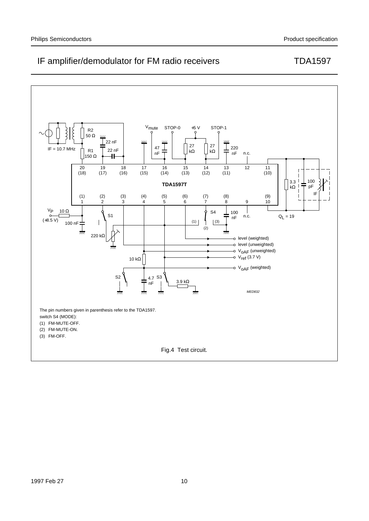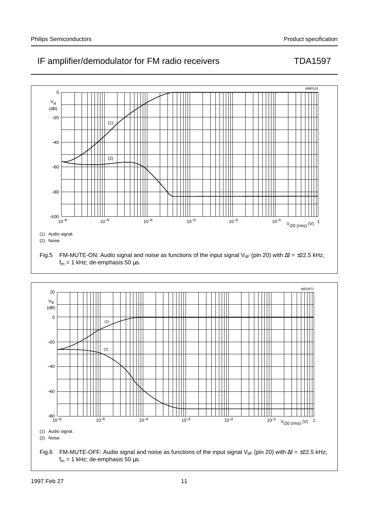

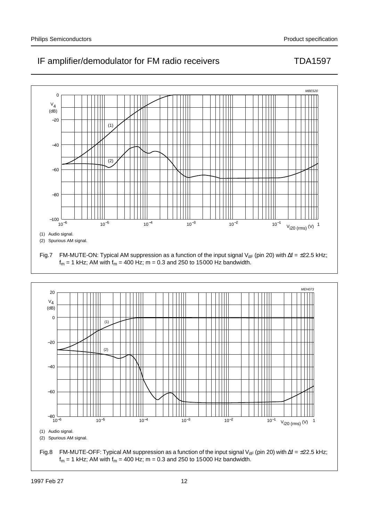

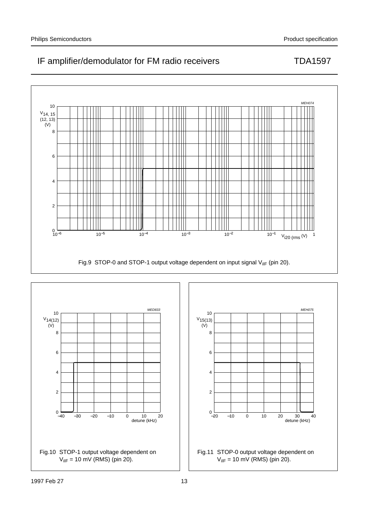

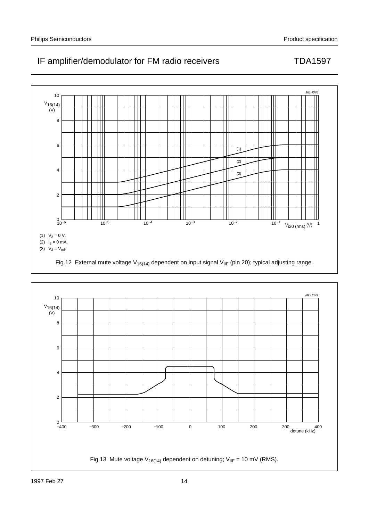

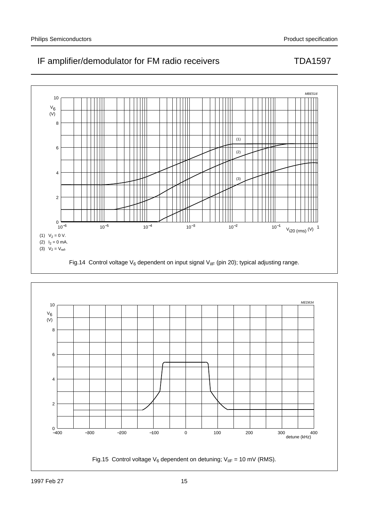

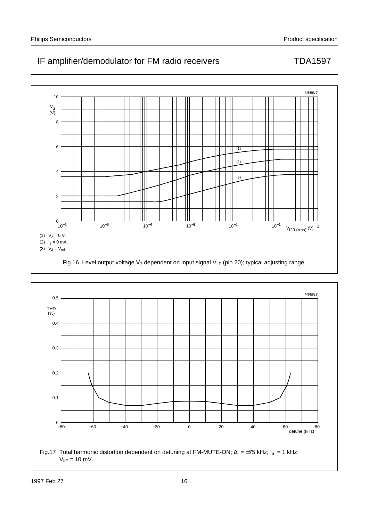



 $V_{\text{HF}} = 10 \text{ mV}.$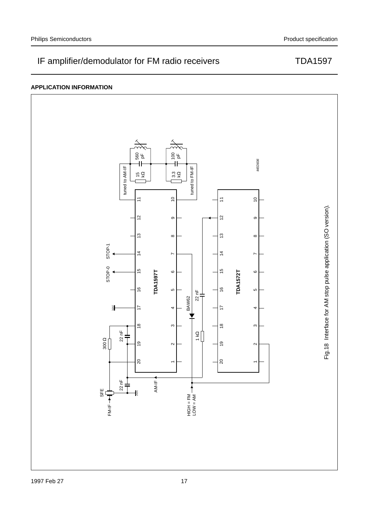### **APPLICATION INFORMATION**

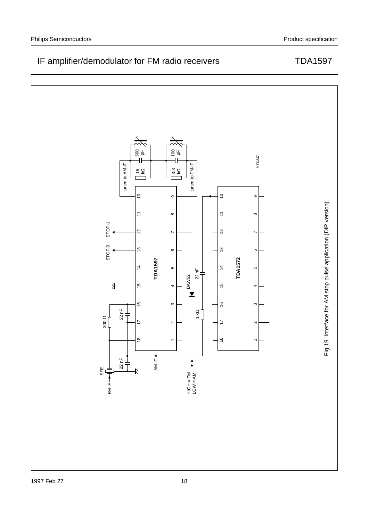

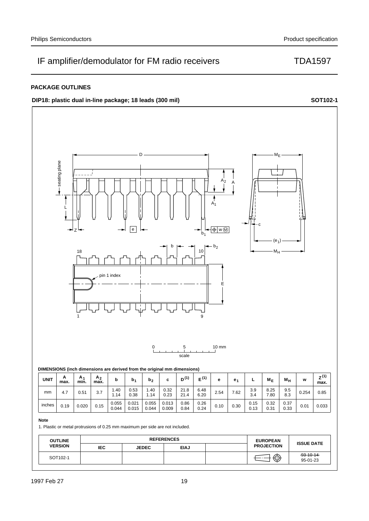**DIP18:** plastic dual in-line package; 18 leads (300 mil) **SOT102-1 SOT102-1** 





1. Plastic or metal protrusions of 0.25 mm maximum per side are not included.

0.044

0.015

| <b>OUTLINE</b> | <b>REFERENCES</b> |              |             |  | <b>EUROPEAN</b><br><b>ISSUE DATE</b> |                             |  |
|----------------|-------------------|--------------|-------------|--|--------------------------------------|-----------------------------|--|
| <b>VERSION</b> | <b>IEC</b>        | <b>JEDEC</b> | <b>EIAJ</b> |  | <b>PROJECTION</b>                    |                             |  |
| SOT102-1       |                   |              |             |  | ∕⊼<br>س                              | $-93 - 10 - 14$<br>95-01-23 |  |

0.84

0.24

0.33 0.19 0.020 0.15 0.033

0.31

0.009

0.044

## Philips Semiconductors **Production** Product specification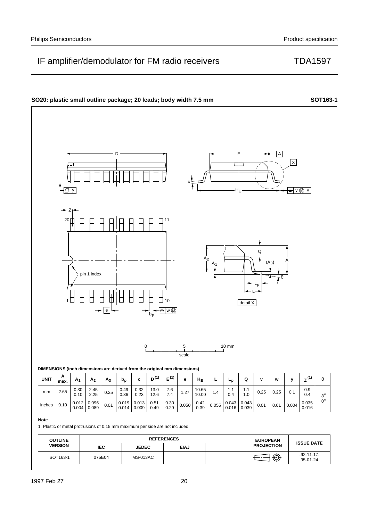95-01-24

## IF amplifier/demodulator for FM radio receivers TDA1597



SOT163-1 92-11-17

075E04 MS-013AC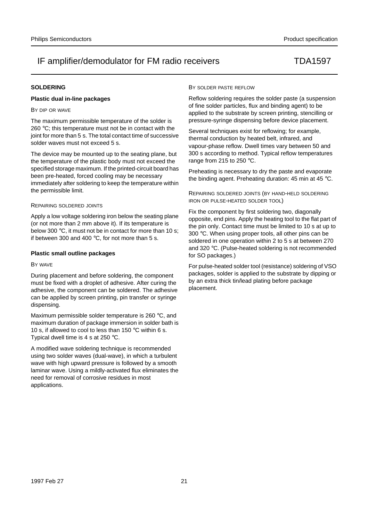### **SOLDERING**

### **Plastic dual in-line packages**

#### BY DIP OR WAVE

The maximum permissible temperature of the solder is 260 °C; this temperature must not be in contact with the joint for more than 5 s. The total contact time of successive solder waves must not exceed 5 s.

The device may be mounted up to the seating plane, but the temperature of the plastic body must not exceed the specified storage maximum. If the printed-circuit board has been pre-heated, forced cooling may be necessary immediately after soldering to keep the temperature within the permissible limit.

#### REPAIRING SOLDERED JOINTS

Apply a low voltage soldering iron below the seating plane (or not more than 2 mm above it). If its temperature is below 300 °C, it must not be in contact for more than 10 s: if between 300 and 400  $^{\circ}$ C, for not more than 5 s.

#### **Plastic small outline packages**

#### BY WAVE

During placement and before soldering, the component must be fixed with a droplet of adhesive. After curing the adhesive, the component can be soldered. The adhesive can be applied by screen printing, pin transfer or syringe dispensing.

Maximum permissible solder temperature is 260 °C, and maximum duration of package immersion in solder bath is 10 s, if allowed to cool to less than 150 °C within 6 s. Typical dwell time is 4 s at 250 °C.

A modified wave soldering technique is recommended using two solder waves (dual-wave), in which a turbulent wave with high upward pressure is followed by a smooth laminar wave. Using a mildly-activated flux eliminates the need for removal of corrosive residues in most applications.

#### BY SOLDER PASTE REFLOW

Reflow soldering requires the solder paste (a suspension of fine solder particles, flux and binding agent) to be applied to the substrate by screen printing, stencilling or pressure-syringe dispensing before device placement.

Several techniques exist for reflowing; for example, thermal conduction by heated belt, infrared, and vapour-phase reflow. Dwell times vary between 50 and 300 s according to method. Typical reflow temperatures range from 215 to 250 °C.

Preheating is necessary to dry the paste and evaporate the binding agent. Preheating duration: 45 min at 45 °C.

REPAIRING SOLDERED JOINTS (BY HAND-HELD SOLDERING IRON OR PULSE-HEATED SOLDER TOOL)

Fix the component by first soldering two, diagonally opposite, end pins. Apply the heating tool to the flat part of the pin only. Contact time must be limited to 10 s at up to 300 °C. When using proper tools, all other pins can be soldered in one operation within 2 to 5 s at between 270 and 320 °C. (Pulse-heated soldering is not recommended for SO packages.)

For pulse-heated solder tool (resistance) soldering of VSO packages, solder is applied to the substrate by dipping or by an extra thick tin/lead plating before package placement.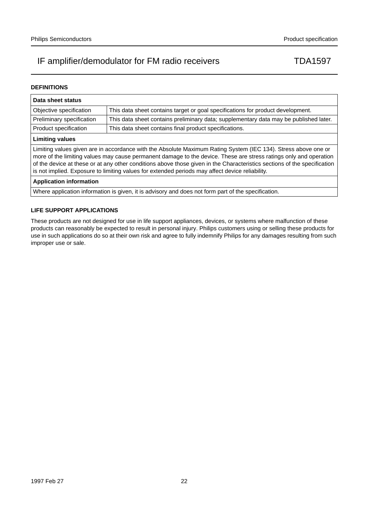### **DEFINITIONS**

| Data sheet status                                                                                                                                                                                                                                                                                                                                                                                                                                                  |                                                                                       |  |  |  |
|--------------------------------------------------------------------------------------------------------------------------------------------------------------------------------------------------------------------------------------------------------------------------------------------------------------------------------------------------------------------------------------------------------------------------------------------------------------------|---------------------------------------------------------------------------------------|--|--|--|
| Objective specification                                                                                                                                                                                                                                                                                                                                                                                                                                            | This data sheet contains target or goal specifications for product development.       |  |  |  |
| Preliminary specification                                                                                                                                                                                                                                                                                                                                                                                                                                          | This data sheet contains preliminary data; supplementary data may be published later. |  |  |  |
| Product specification                                                                                                                                                                                                                                                                                                                                                                                                                                              | This data sheet contains final product specifications.                                |  |  |  |
| <b>Limiting values</b>                                                                                                                                                                                                                                                                                                                                                                                                                                             |                                                                                       |  |  |  |
| Limiting values given are in accordance with the Absolute Maximum Rating System (IEC 134). Stress above one or<br>more of the limiting values may cause permanent damage to the device. These are stress ratings only and operation<br>of the device at these or at any other conditions above those given in the Characteristics sections of the specification<br>is not implied. Exposure to limiting values for extended periods may affect device reliability. |                                                                                       |  |  |  |
| <b>Application information</b>                                                                                                                                                                                                                                                                                                                                                                                                                                     |                                                                                       |  |  |  |
| Where application information is given, it is advisory and does not form part of the specification.                                                                                                                                                                                                                                                                                                                                                                |                                                                                       |  |  |  |

### **LIFE SUPPORT APPLICATIONS**

These products are not designed for use in life support appliances, devices, or systems where malfunction of these products can reasonably be expected to result in personal injury. Philips customers using or selling these products for use in such applications do so at their own risk and agree to fully indemnify Philips for any damages resulting from such improper use or sale.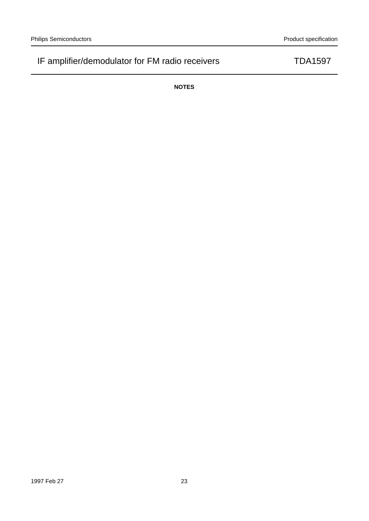**NOTES**